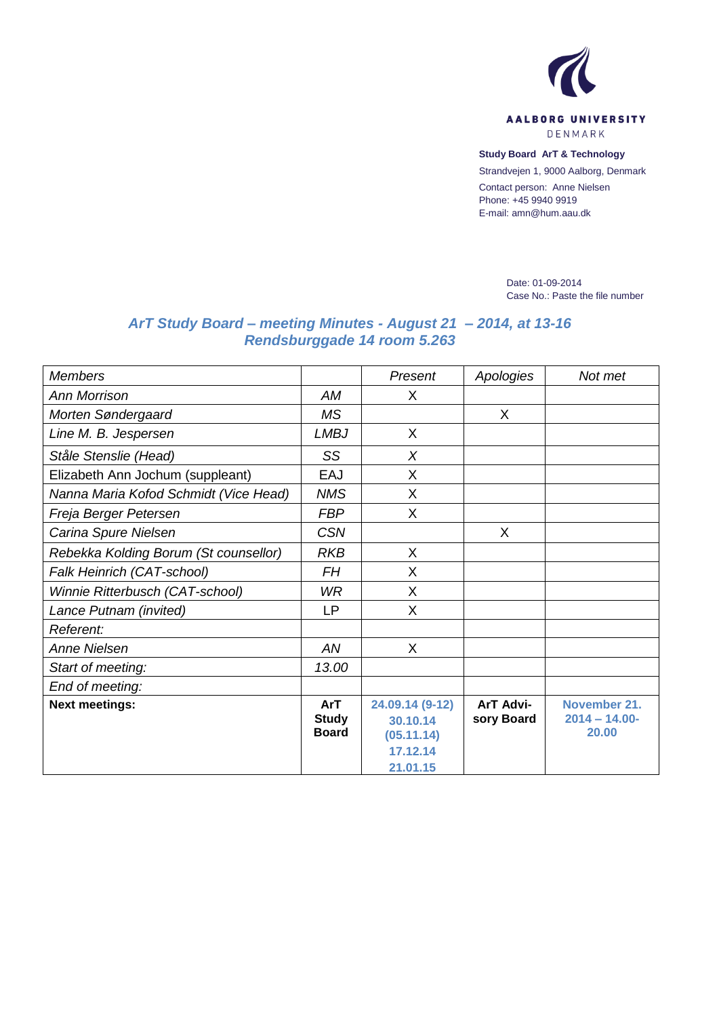

DENMARK

## **Study Board ArT & Technology**

Strandvejen 1, 9000 Aalborg, Denmark

Contact person: Anne Nielsen Phone: +45 9940 9919 E-mail: amn@hum.aau.dk

> Date: 01-09-2014 Case No.: Paste the file number

## *ArT Study Board – meeting Minutes - August 21 – 2014, at 13-16 Rendsburggade 14 room 5.263*

| <b>Members</b>                        |                                     | Present                                               | Apologies               | Not met                                   |
|---------------------------------------|-------------------------------------|-------------------------------------------------------|-------------------------|-------------------------------------------|
| <b>Ann Morrison</b>                   | AM                                  | X                                                     |                         |                                           |
| Morten Søndergaard                    | <b>MS</b>                           |                                                       | X                       |                                           |
| Line M. B. Jespersen                  | <b>LMBJ</b>                         | X                                                     |                         |                                           |
| Ståle Stenslie (Head)                 | SS                                  | $\times$                                              |                         |                                           |
| Elizabeth Ann Jochum (suppleant)      | EAJ                                 | X                                                     |                         |                                           |
| Nanna Maria Kofod Schmidt (Vice Head) | <b>NMS</b>                          | X                                                     |                         |                                           |
| Freja Berger Petersen                 | <b>FBP</b>                          | X                                                     |                         |                                           |
| Carina Spure Nielsen                  | <b>CSN</b>                          |                                                       | X                       |                                           |
| Rebekka Kolding Borum (St counsellor) | <b>RKB</b>                          | X                                                     |                         |                                           |
| Falk Heinrich (CAT-school)            | <b>FH</b>                           | X                                                     |                         |                                           |
| Winnie Ritterbusch (CAT-school)       | WR                                  | X                                                     |                         |                                           |
| Lance Putnam (invited)                | <b>LP</b>                           | X                                                     |                         |                                           |
| Referent:                             |                                     |                                                       |                         |                                           |
| <b>Anne Nielsen</b>                   | AN                                  | X                                                     |                         |                                           |
| Start of meeting:                     | 13.00                               |                                                       |                         |                                           |
| End of meeting:                       |                                     |                                                       |                         |                                           |
| <b>Next meetings:</b>                 | ArT<br><b>Study</b><br><b>Board</b> | 24.09.14 (9-12)<br>30.10.14<br>(05.11.14)<br>17.12.14 | ArT Advi-<br>sory Board | November 21.<br>$2014 - 14.00 -$<br>20.00 |
|                                       |                                     | 21.01.15                                              |                         |                                           |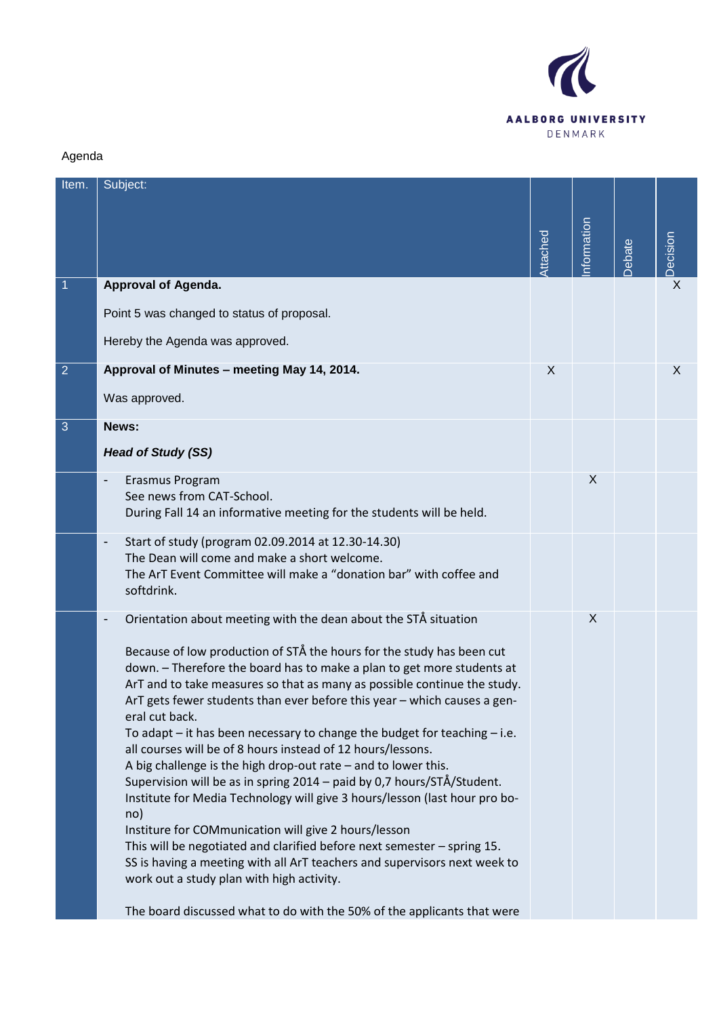

## Agenda

| Item.          | Subject:                                                                                                                                                                                          |          |            |               |                |
|----------------|---------------------------------------------------------------------------------------------------------------------------------------------------------------------------------------------------|----------|------------|---------------|----------------|
|                |                                                                                                                                                                                                   |          |            |               |                |
|                |                                                                                                                                                                                                   | Attached | nformation | <b>Debate</b> | Decision       |
| $\mathbf{1}$   | <b>Approval of Agenda.</b>                                                                                                                                                                        |          |            |               | $\overline{X}$ |
|                | Point 5 was changed to status of proposal.                                                                                                                                                        |          |            |               |                |
|                | Hereby the Agenda was approved.                                                                                                                                                                   |          |            |               |                |
| $\overline{2}$ | Approval of Minutes - meeting May 14, 2014.                                                                                                                                                       | X        |            |               | X              |
|                | Was approved.                                                                                                                                                                                     |          |            |               |                |
| 3              | News:                                                                                                                                                                                             |          |            |               |                |
|                | <b>Head of Study (SS)</b>                                                                                                                                                                         |          |            |               |                |
|                | Erasmus Program<br>See news from CAT-School.                                                                                                                                                      |          | X          |               |                |
|                | During Fall 14 an informative meeting for the students will be held.                                                                                                                              |          |            |               |                |
|                | Start of study (program 02.09.2014 at 12.30-14.30)<br>$\overline{\phantom{a}}$                                                                                                                    |          |            |               |                |
|                | The Dean will come and make a short welcome.<br>The ArT Event Committee will make a "donation bar" with coffee and<br>softdrink.                                                                  |          |            |               |                |
|                | Orientation about meeting with the dean about the STÅ situation                                                                                                                                   |          | X          |               |                |
|                | Because of low production of STÅ the hours for the study has been cut                                                                                                                             |          |            |               |                |
|                | down. - Therefore the board has to make a plan to get more students at<br>ArT and to take measures so that as many as possible continue the study.                                                |          |            |               |                |
|                | ArT gets fewer students than ever before this year - which causes a gen-<br>eral cut back.                                                                                                        |          |            |               |                |
|                | To adapt $-$ it has been necessary to change the budget for teaching $-$ i.e.                                                                                                                     |          |            |               |                |
|                | all courses will be of 8 hours instead of 12 hours/lessons.<br>A big challenge is the high drop-out rate $-$ and to lower this.                                                                   |          |            |               |                |
|                | Supervision will be as in spring 2014 - paid by 0,7 hours/STÅ/Student.                                                                                                                            |          |            |               |                |
|                | Institute for Media Technology will give 3 hours/lesson (last hour pro bo-<br>no)                                                                                                                 |          |            |               |                |
|                | Institure for COMmunication will give 2 hours/lesson                                                                                                                                              |          |            |               |                |
|                | This will be negotiated and clarified before next semester - spring 15.<br>SS is having a meeting with all ArT teachers and supervisors next week to<br>work out a study plan with high activity. |          |            |               |                |
|                | The board discussed what to do with the 50% of the applicants that were                                                                                                                           |          |            |               |                |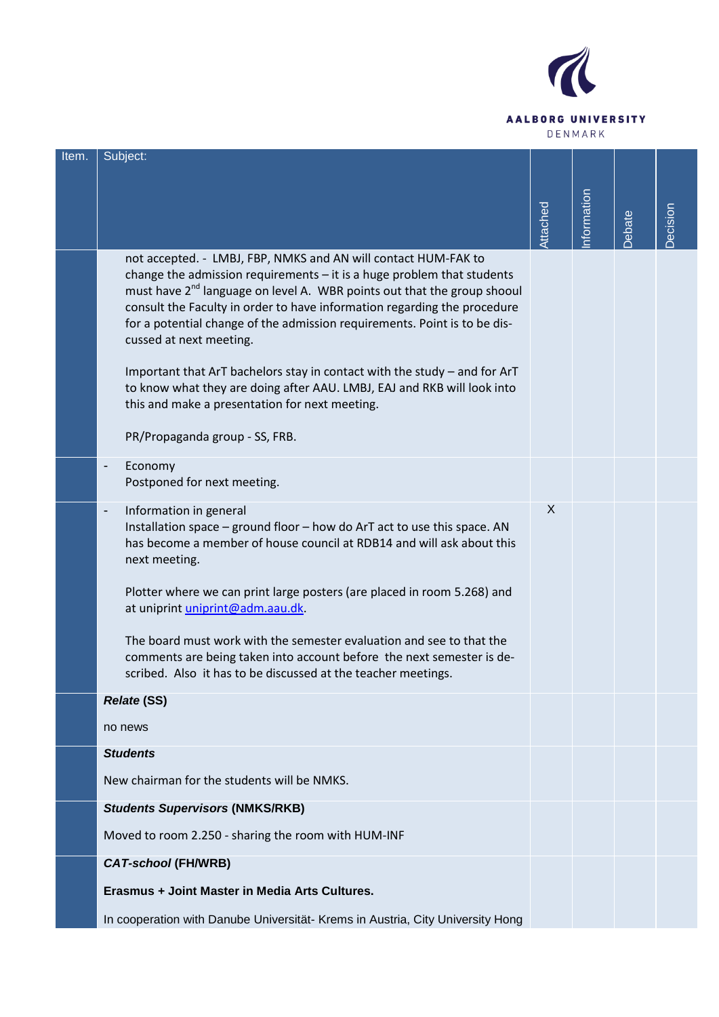

| Item. | Subject:                                                                                                                                                                                                                                                                                                                                                                                                              |          |            |        |          |
|-------|-----------------------------------------------------------------------------------------------------------------------------------------------------------------------------------------------------------------------------------------------------------------------------------------------------------------------------------------------------------------------------------------------------------------------|----------|------------|--------|----------|
|       |                                                                                                                                                                                                                                                                                                                                                                                                                       |          |            |        |          |
|       |                                                                                                                                                                                                                                                                                                                                                                                                                       | Attached | nformation |        | Decision |
|       |                                                                                                                                                                                                                                                                                                                                                                                                                       |          |            | Debate |          |
|       | not accepted. - LMBJ, FBP, NMKS and AN will contact HUM-FAK to<br>change the admission requirements $-$ it is a huge problem that students<br>must have 2 <sup>nd</sup> language on level A. WBR points out that the group shooul<br>consult the Faculty in order to have information regarding the procedure<br>for a potential change of the admission requirements. Point is to be dis-<br>cussed at next meeting. |          |            |        |          |
|       | Important that ArT bachelors stay in contact with the study - and for ArT<br>to know what they are doing after AAU. LMBJ, EAJ and RKB will look into<br>this and make a presentation for next meeting.                                                                                                                                                                                                                |          |            |        |          |
|       | PR/Propaganda group - SS, FRB.                                                                                                                                                                                                                                                                                                                                                                                        |          |            |        |          |
|       | Economy<br>$\overline{\phantom{0}}$<br>Postponed for next meeting.                                                                                                                                                                                                                                                                                                                                                    |          |            |        |          |
|       | Information in general<br>$\overline{a}$<br>Installation space - ground floor - how do ArT act to use this space. AN<br>has become a member of house council at RDB14 and will ask about this<br>next meeting.                                                                                                                                                                                                        | X        |            |        |          |
|       | Plotter where we can print large posters (are placed in room 5.268) and<br>at uniprint uniprint@adm.aau.dk.                                                                                                                                                                                                                                                                                                           |          |            |        |          |
|       | The board must work with the semester evaluation and see to that the<br>comments are being taken into account before the next semester is de-<br>scribed. Also it has to be discussed at the teacher meetings.                                                                                                                                                                                                        |          |            |        |          |
|       | <b>Relate (SS)</b>                                                                                                                                                                                                                                                                                                                                                                                                    |          |            |        |          |
|       | no news                                                                                                                                                                                                                                                                                                                                                                                                               |          |            |        |          |
|       | <b>Students</b>                                                                                                                                                                                                                                                                                                                                                                                                       |          |            |        |          |
|       | New chairman for the students will be NMKS.                                                                                                                                                                                                                                                                                                                                                                           |          |            |        |          |
|       | <b>Students Supervisors (NMKS/RKB)</b>                                                                                                                                                                                                                                                                                                                                                                                |          |            |        |          |
|       | Moved to room 2.250 - sharing the room with HUM-INF                                                                                                                                                                                                                                                                                                                                                                   |          |            |        |          |
|       | <b>CAT-school (FH/WRB)</b>                                                                                                                                                                                                                                                                                                                                                                                            |          |            |        |          |
|       | Erasmus + Joint Master in Media Arts Cultures.                                                                                                                                                                                                                                                                                                                                                                        |          |            |        |          |
|       | In cooperation with Danube Universität- Krems in Austria, City University Hong                                                                                                                                                                                                                                                                                                                                        |          |            |        |          |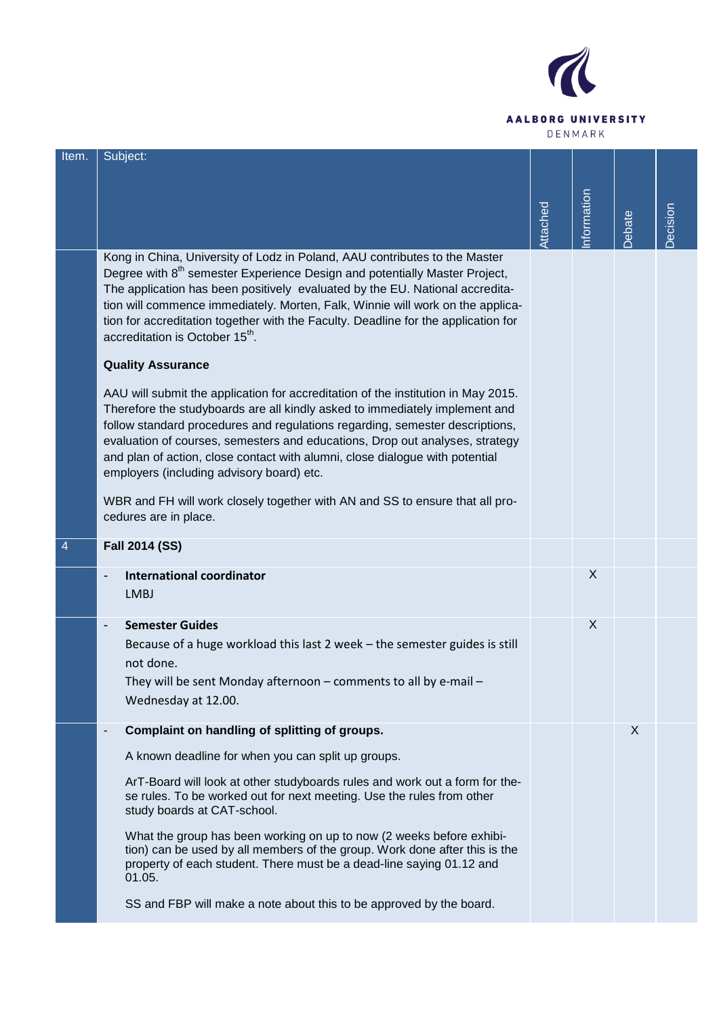

| Item. | Subject:                                                                                                                                                                                                                                                                                                                                                                                                                                                                    |          |            |       |          |
|-------|-----------------------------------------------------------------------------------------------------------------------------------------------------------------------------------------------------------------------------------------------------------------------------------------------------------------------------------------------------------------------------------------------------------------------------------------------------------------------------|----------|------------|-------|----------|
|       |                                                                                                                                                                                                                                                                                                                                                                                                                                                                             | Attached | nformation | ebate | Decision |
|       | Kong in China, University of Lodz in Poland, AAU contributes to the Master<br>Degree with 8 <sup>th</sup> semester Experience Design and potentially Master Project,<br>The application has been positively evaluated by the EU. National accredita-<br>tion will commence immediately. Morten, Falk, Winnie will work on the applica-<br>tion for accreditation together with the Faculty. Deadline for the application for<br>accreditation is October 15 <sup>th</sup> . |          |            |       |          |
|       | <b>Quality Assurance</b>                                                                                                                                                                                                                                                                                                                                                                                                                                                    |          |            |       |          |
|       | AAU will submit the application for accreditation of the institution in May 2015.<br>Therefore the studyboards are all kindly asked to immediately implement and<br>follow standard procedures and regulations regarding, semester descriptions,<br>evaluation of courses, semesters and educations, Drop out analyses, strategy<br>and plan of action, close contact with alumni, close dialogue with potential<br>employers (including advisory board) etc.               |          |            |       |          |
|       | WBR and FH will work closely together with AN and SS to ensure that all pro-<br>cedures are in place.                                                                                                                                                                                                                                                                                                                                                                       |          |            |       |          |
|       | <b>Fall 2014 (SS)</b>                                                                                                                                                                                                                                                                                                                                                                                                                                                       |          |            |       |          |
|       | <b>International coordinator</b>                                                                                                                                                                                                                                                                                                                                                                                                                                            |          | X          |       |          |
|       | <b>LMBJ</b>                                                                                                                                                                                                                                                                                                                                                                                                                                                                 |          |            |       |          |
|       | <b>Semester Guides</b><br>$\overline{\phantom{a}}$                                                                                                                                                                                                                                                                                                                                                                                                                          |          | X          |       |          |
|       | Because of a huge workload this last 2 week - the semester guides is still<br>not done.                                                                                                                                                                                                                                                                                                                                                                                     |          |            |       |          |
|       | They will be sent Monday afternoon - comments to all by e-mail -<br>Wednesday at 12.00.                                                                                                                                                                                                                                                                                                                                                                                     |          |            |       |          |
|       | Complaint on handling of splitting of groups.<br>$\blacksquare$                                                                                                                                                                                                                                                                                                                                                                                                             |          |            | X     |          |
|       | A known deadline for when you can split up groups.                                                                                                                                                                                                                                                                                                                                                                                                                          |          |            |       |          |
|       | ArT-Board will look at other studyboards rules and work out a form for the-<br>se rules. To be worked out for next meeting. Use the rules from other<br>study boards at CAT-school.                                                                                                                                                                                                                                                                                         |          |            |       |          |
|       | What the group has been working on up to now (2 weeks before exhibi-<br>tion) can be used by all members of the group. Work done after this is the<br>property of each student. There must be a dead-line saying 01.12 and<br>01.05.                                                                                                                                                                                                                                        |          |            |       |          |